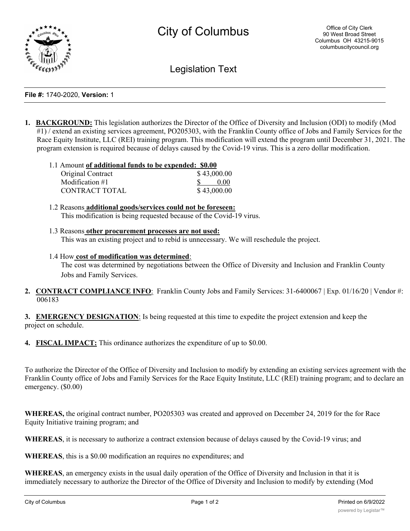

Legislation Text

## **File #:** 1740-2020, **Version:** 1

**1. BACKGROUND:** This legislation authorizes the Director of the Office of Diversity and Inclusion (ODI) to modify (Mod #1) / extend an existing services agreement, PO205303, with the Franklin County office of Jobs and Family Services for the Race Equity Institute, LLC (REI) training program. This modification will extend the program until December 31, 2021. The program extension is required because of delays caused by the Covid-19 virus. This is a zero dollar modification.

| 1.1 Amount of additional funds to be expended: \$0.00 |             |
|-------------------------------------------------------|-------------|
| Original Contract                                     | \$43,000.00 |
| Modification $#1$                                     | 0.00        |
| CONTRACT TOTAL                                        | \$43,000.00 |

- 1.2 Reasons **additional goods/services could not be foreseen:** This modification is being requested because of the Covid-19 virus.
- 1.3 Reasons **other procurement processes are not used:** This was an existing project and to rebid is unnecessary. We will reschedule the project.
- 1.4 How **cost of modification was determined**: The cost was determined by negotiations between the Office of Diversity and Inclusion and Franklin County Jobs and Family Services.
- **2. CONTRACT COMPLIANCE INFO**: Franklin County Jobs and Family Services: 31-6400067 | Exp. 01/16/20 | Vendor #: 006183

**3. EMERGENCY DESIGNATION**: Is being requested at this time to expedite the project extension and keep the project on schedule.

**4. FISCAL IMPACT:** This ordinance authorizes the expenditure of up to \$0.00.

To authorize the Director of the Office of Diversity and Inclusion to modify by extending an existing services agreement with the Franklin County office of Jobs and Family Services for the Race Equity Institute, LLC (REI) training program; and to declare an emergency. (\$0.00)

**WHEREAS,** the original contract number, PO205303 was created and approved on December 24, 2019 for the for Race Equity Initiative training program; and

**WHEREAS**, it is necessary to authorize a contract extension because of delays caused by the Covid-19 virus; and

**WHEREAS**, this is a \$0.00 modification an requires no expenditures; and

**WHEREAS**, an emergency exists in the usual daily operation of the Office of Diversity and Inclusion in that it is immediately necessary to authorize the Director of the Office of Diversity and Inclusion to modify by extending (Mod